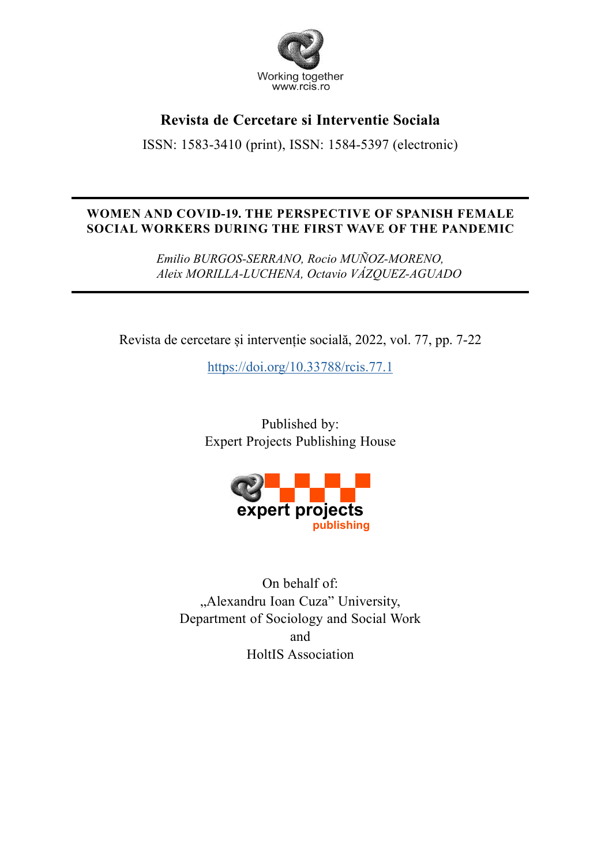

# **Revista de Cercetare si Interventie Sociala**

ISSN: 1583-3410 (print), ISSN: 1584-5397 (electronic)

## **WOMEN AND COVID-19. THE PERSPECTIVE OF SPANISH FEMALE SOCIAL WORKERS DURING THE FIRST WAVE OF THE PANDEMIC**

*Emilio BURGOS-SERRANO, Rocio MUÑOZ-MORENO, Aleix MORILLA-LUCHENA, Octavio VÁZQUEZ-AGUADO*

Revista de cercetare și intervenție socială, 2022, vol. 77, pp. 7-22

https://doi.org/10.33788/rcis.77.1

Published by: Expert Projects Publishing House



On behalf of: "Alexandru Ioan Cuza" University, Department of Sociology and Social Work and HoltIS Association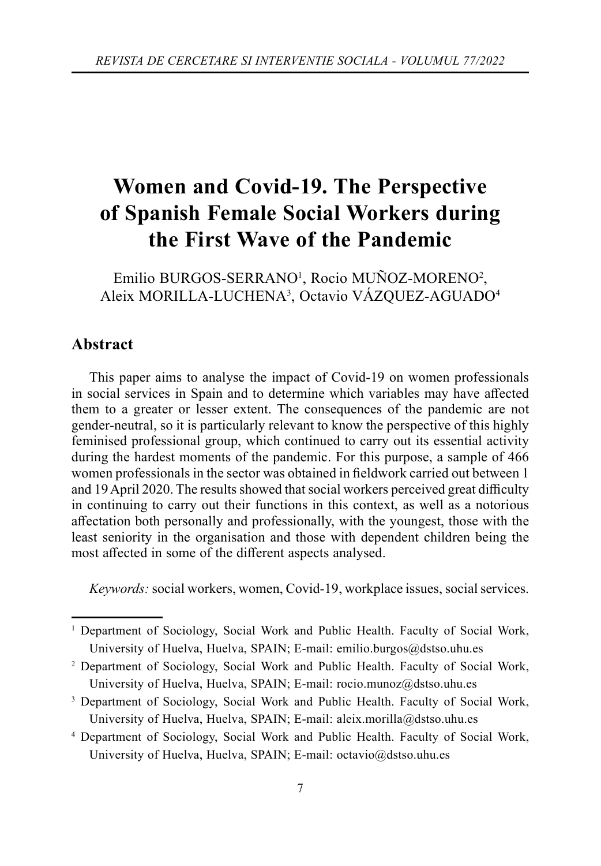# **Women and Covid-19. The Perspective of Spanish Female Social Workers during the First Wave of the Pandemic**

Emilio BURGOS-SERRANO<sup>1</sup>, Rocio MUÑOZ-MORENO<sup>2</sup>, Aleix MORILLA-LUCHENA3 , Octavio VÁZQUEZ-AGUADO4

## **Abstract**

This paper aims to analyse the impact of Covid-19 on women professionals in social services in Spain and to determine which variables may have affected them to a greater or lesser extent. The consequences of the pandemic are not gender-neutral, so it is particularly relevant to know the perspective of this highly feminised professional group, which continued to carry out its essential activity during the hardest moments of the pandemic. For this purpose, a sample of 466 women professionals in the sector was obtained in fieldwork carried out between 1 and 19 April 2020. The results showed that social workers perceived great difficulty in continuing to carry out their functions in this context, as well as a notorious aff ectation both personally and professionally, with the youngest, those with the least seniority in the organisation and those with dependent children being the most affected in some of the different aspects analysed.

*Keywords:* social workers, women, Covid-19, workplace issues, social services.

- <sup>2</sup> Department of Sociology, Social Work and Public Health. Faculty of Social Work, University of Huelva, Huelva, SPAIN; E-mail: rocio.munoz@dstso.uhu.es
- 3 Department of Sociology, Social Work and Public Health. Faculty of Social Work, University of Huelva, Huelva, SPAIN; E-mail: aleix.morilla@dstso.uhu.es
- 4 Department of Sociology, Social Work and Public Health. Faculty of Social Work, University of Huelva, Huelva, SPAIN; E-mail: octavio@dstso.uhu.es

<sup>1</sup> Department of Sociology, Social Work and Public Health. Faculty of Social Work, University of Huelva, Huelva, SPAIN; E-mail: emilio.burgos@dstso.uhu.es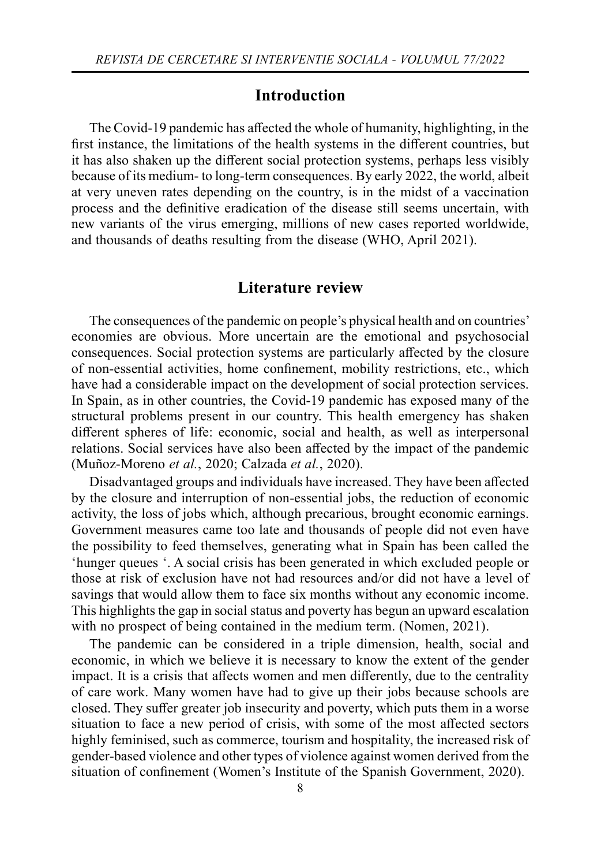## **Introduction**

The Covid-19 pandemic has affected the whole of humanity, highlighting, in the first instance, the limitations of the health systems in the different countries, but it has also shaken up the different social protection systems, perhaps less visibly because of its medium- to long-term consequences. By early 2022, the world, albeit at very uneven rates depending on the country, is in the midst of a vaccination process and the definitive eradication of the disease still seems uncertain, with new variants of the virus emerging, millions of new cases reported worldwide, and thousands of deaths resulting from the disease (WHO, April 2021).

## **Literature review**

The consequences of the pandemic on people's physical health and on countries' economies are obvious. More uncertain are the emotional and psychosocial consequences. Social protection systems are particularly affected by the closure of non-essential activities, home confinement, mobility restrictions, etc., which have had a considerable impact on the development of social protection services. In Spain, as in other countries, the Covid-19 pandemic has exposed many of the structural problems present in our country. This health emergency has shaken different spheres of life: economic, social and health, as well as interpersonal relations. Social services have also been affected by the impact of the pandemic (Muñoz-Moreno *et al.*, 2020; Calzada *et al.*, 2020).

Disadvantaged groups and individuals have increased. They have been affected by the closure and interruption of non-essential jobs, the reduction of economic activity, the loss of jobs which, although precarious, brought economic earnings. Government measures came too late and thousands of people did not even have the possibility to feed themselves, generating what in Spain has been called the 'hunger queues '. A social crisis has been generated in which excluded people or those at risk of exclusion have not had resources and/or did not have a level of savings that would allow them to face six months without any economic income. This highlights the gap in social status and poverty has begun an upward escalation with no prospect of being contained in the medium term. (Nomen, 2021).

The pandemic can be considered in a triple dimension, health, social and economic, in which we believe it is necessary to know the extent of the gender impact. It is a crisis that affects women and men differently, due to the centrality of care work. Many women have had to give up their jobs because schools are closed. They suffer greater job insecurity and poverty, which puts them in a worse situation to face a new period of crisis, with some of the most affected sectors highly feminised, such as commerce, tourism and hospitality, the increased risk of gender-based violence and other types of violence against women derived from the situation of confinement (Women's Institute of the Spanish Government, 2020).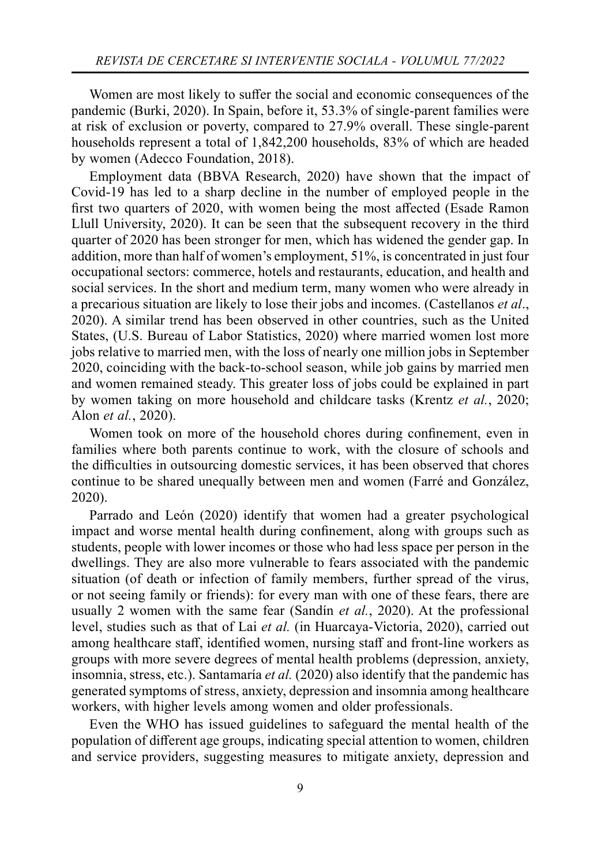Women are most likely to suffer the social and economic consequences of the pandemic (Burki, 2020). In Spain, before it, 53.3% of single-parent families were at risk of exclusion or poverty, compared to 27.9% overall. These single-parent households represent a total of 1,842,200 households, 83% of which are headed by women (Adecco Foundation, 2018).

Employment data (BBVA Research, 2020) have shown that the impact of Covid-19 has led to a sharp decline in the number of employed people in the first two quarters of 2020, with women being the most affected (Esade Ramon Llull University, 2020). It can be seen that the subsequent recovery in the third quarter of 2020 has been stronger for men, which has widened the gender gap. In addition, more than half of women's employment, 51%, is concentrated in just four occupational sectors: commerce, hotels and restaurants, education, and health and social services. In the short and medium term, many women who were already in a precarious situation are likely to lose their jobs and incomes. (Castellanos *et al*., 2020). A similar trend has been observed in other countries, such as the United States, (U.S. Bureau of Labor Statistics, 2020) where married women lost more jobs relative to married men, with the loss of nearly one million jobs in September 2020, coinciding with the back-to-school season, while job gains by married men and women remained steady. This greater loss of jobs could be explained in part by women taking on more household and childcare tasks (Krentz *et al.*, 2020; Alon *et al.*, 2020).

Women took on more of the household chores during confinement, even in families where both parents continue to work, with the closure of schools and the difficulties in outsourcing domestic services, it has been observed that chores continue to be shared unequally between men and women (Farré and González, 2020).

Parrado and León (2020) identify that women had a greater psychological impact and worse mental health during confinement, along with groups such as students, people with lower incomes or those who had less space per person in the dwellings. They are also more vulnerable to fears associated with the pandemic situation (of death or infection of family members, further spread of the virus, or not seeing family or friends): for every man with one of these fears, there are usually 2 women with the same fear (Sandín *et al.*, 2020). At the professional level, studies such as that of Lai *et al.* (in Huarcaya-Victoria, 2020), carried out among healthcare staff, identified women, nursing staff and front-line workers as groups with more severe degrees of mental health problems (depression, anxiety, insomnia, stress, etc.). Santamaría *et al.* (2020) also identify that the pandemic has generated symptoms of stress, anxiety, depression and insomnia among healthcare workers, with higher levels among women and older professionals.

Even the WHO has issued guidelines to safeguard the mental health of the population of different age groups, indicating special attention to women, children and service providers, suggesting measures to mitigate anxiety, depression and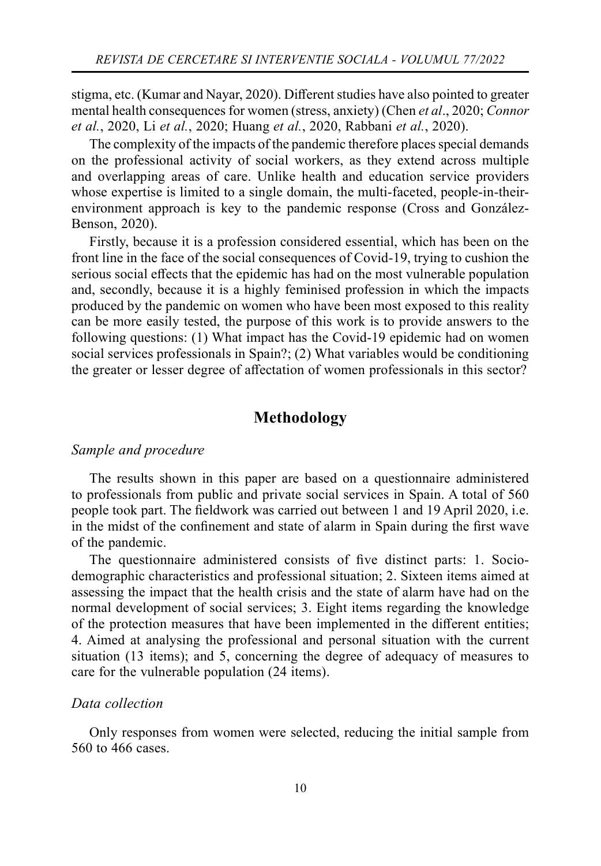stigma, etc. (Kumar and Nayar, 2020). Diff erent studies have also pointed to greater mental health consequences for women (stress, anxiety) (Chen *et al*., 2020; *Connor et al.*, 2020, Li *et al.*, 2020; Huang *et al.*, 2020, Rabbani *et al.*, 2020).

The complexity of the impacts of the pandemic therefore places special demands on the professional activity of social workers, as they extend across multiple and overlapping areas of care. Unlike health and education service providers whose expertise is limited to a single domain, the multi-faceted, people-in-theirenvironment approach is key to the pandemic response (Cross and González-Benson, 2020).

Firstly, because it is a profession considered essential, which has been on the front line in the face of the social consequences of Covid-19, trying to cushion the serious social effects that the epidemic has had on the most vulnerable population and, secondly, because it is a highly feminised profession in which the impacts produced by the pandemic on women who have been most exposed to this reality can be more easily tested, the purpose of this work is to provide answers to the following questions: (1) What impact has the Covid-19 epidemic had on women social services professionals in Spain?; (2) What variables would be conditioning the greater or lesser degree of affectation of women professionals in this sector?

## **Methodology**

#### *Sample and procedure*

The results shown in this paper are based on a questionnaire administered to professionals from public and private social services in Spain. A total of 560 people took part. The fieldwork was carried out between 1 and 19 April 2020, i.e. in the midst of the confinement and state of alarm in Spain during the first wave of the pandemic.

The questionnaire administered consists of five distinct parts: 1. Sociodemographic characteristics and professional situation; 2. Sixteen items aimed at assessing the impact that the health crisis and the state of alarm have had on the normal development of social services; 3. Eight items regarding the knowledge of the protection measures that have been implemented in the different entities; 4. Aimed at analysing the professional and personal situation with the current situation (13 items); and 5, concerning the degree of adequacy of measures to care for the vulnerable population (24 items).

#### *Data collection*

Only responses from women were selected, reducing the initial sample from 560 to 466 cases.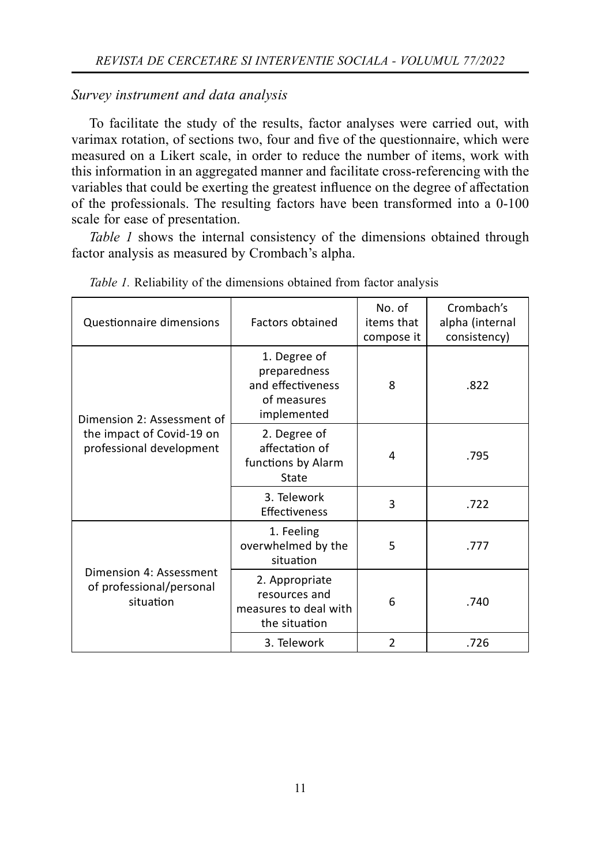#### *Survey instrument and data analysis*

To facilitate the study of the results, factor analyses were carried out, with varimax rotation, of sections two, four and five of the questionnaire, which were measured on a Likert scale, in order to reduce the number of items, work with this information in an aggregated manner and facilitate cross-referencing with the variables that could be exerting the greatest influence on the degree of affectation of the professionals. The resulting factors have been transformed into a 0-100 scale for ease of presentation.

*Table 1* shows the internal consistency of the dimensions obtained through factor analysis as measured by Crombach's alpha.

| Questionnaire dimensions                                         | Factors obtained                                                                | No. of<br>items that<br>compose it | Crombach's<br>alpha (internal<br>consistency) |
|------------------------------------------------------------------|---------------------------------------------------------------------------------|------------------------------------|-----------------------------------------------|
| Dimension 2: Assessment of                                       | 1. Degree of<br>preparedness<br>and effectiveness<br>of measures<br>implemented | 8                                  | .822                                          |
| the impact of Covid-19 on<br>professional development            | 2. Degree of<br>affectation of<br>functions by Alarm<br>State                   | 4                                  | .795                                          |
|                                                                  | 3. Telework<br>Effectiveness                                                    | 3                                  | .722                                          |
|                                                                  | 1. Feeling<br>overwhelmed by the<br>situation                                   | 5                                  | .777                                          |
| Dimension 4: Assessment<br>of professional/personal<br>situation | 2. Appropriate<br>resources and<br>measures to deal with<br>the situation       | 6                                  | .740                                          |
|                                                                  | 3. Telework                                                                     | $\overline{2}$                     | .726                                          |

*Table 1.* Reliability of the dimensions obtained from factor analysis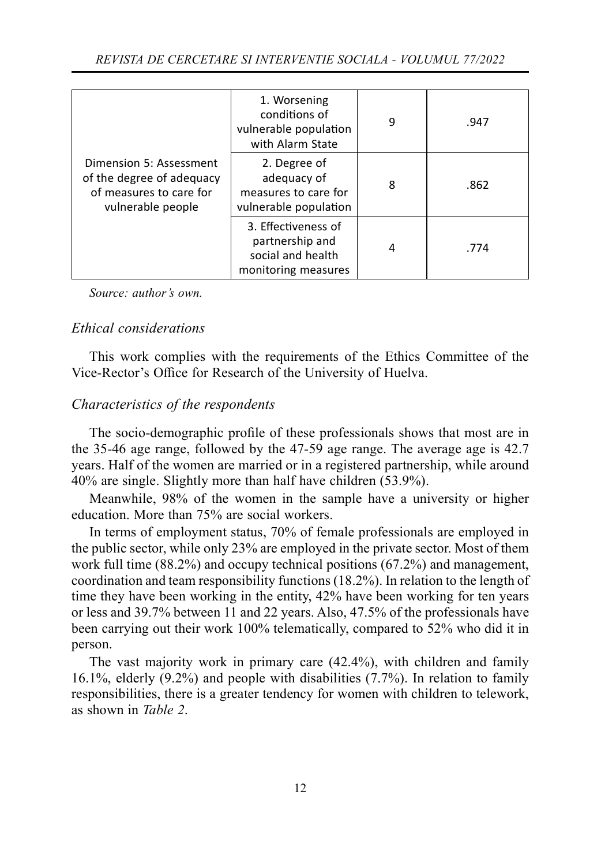|                                                                                                      | 1. Worsening<br>conditions of<br>vulnerable population<br>with Alarm State         | 9 | .947 |
|------------------------------------------------------------------------------------------------------|------------------------------------------------------------------------------------|---|------|
| Dimension 5: Assessment<br>of the degree of adequacy<br>of measures to care for<br>vulnerable people | 2. Degree of<br>adequacy of<br>measures to care for<br>vulnerable population       | 8 | .862 |
|                                                                                                      | 3. Effectiveness of<br>partnership and<br>social and health<br>monitoring measures | 4 | .774 |

## *Ethical considerations*

This work complies with the requirements of the Ethics Committee of the Vice-Rector's Office for Research of the University of Huelva.

## *Characteristics of the respondents*

The socio-demographic profile of these professionals shows that most are in the 35-46 age range, followed by the 47-59 age range. The average age is 42.7 years. Half of the women are married or in a registered partnership, while around 40% are single. Slightly more than half have children (53.9%).

Meanwhile, 98% of the women in the sample have a university or higher education. More than 75% are social workers.

In terms of employment status, 70% of female professionals are employed in the public sector, while only 23% are employed in the private sector. Most of them work full time (88.2%) and occupy technical positions (67.2%) and management, coordination and team responsibility functions (18.2%). In relation to the length of time they have been working in the entity, 42% have been working for ten years or less and 39.7% between 11 and 22 years. Also, 47.5% of the professionals have been carrying out their work 100% telematically, compared to 52% who did it in person.

The vast majority work in primary care (42.4%), with children and family 16.1%, elderly (9.2%) and people with disabilities (7.7%). In relation to family responsibilities, there is a greater tendency for women with children to telework, as shown in *Table 2*.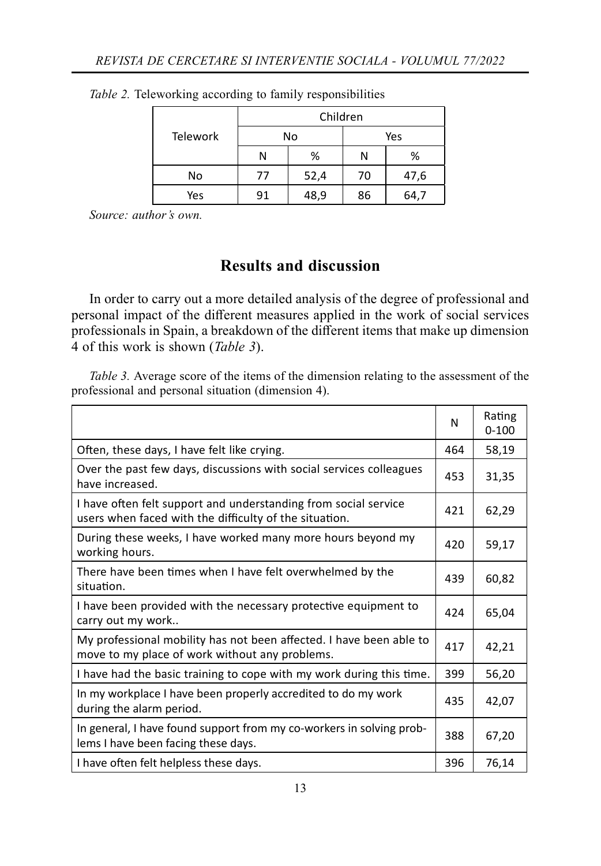|                 | Children |      |     |      |
|-----------------|----------|------|-----|------|
| <b>Telework</b> |          | No   | Yes |      |
|                 | N        | %    | Ν   | %    |
| No              | 77       | 52,4 | 70  | 47,6 |
| Yes             | 91       | 48,9 | 86  | 64,7 |

*Table 2.* Teleworking according to family responsibilities

# **Results and discussion**

In order to carry out a more detailed analysis of the degree of professional and personal impact of the different measures applied in the work of social services professionals in Spain, a breakdown of the different items that make up dimension 4 of this work is shown (*Table 3*).

*Table 3.* Average score of the items of the dimension relating to the assessment of the professional and personal situation (dimension 4).

|                                                                                                                           | N   | Rating<br>$0 - 100$ |
|---------------------------------------------------------------------------------------------------------------------------|-----|---------------------|
| Often, these days, I have felt like crying.                                                                               | 464 | 58,19               |
| Over the past few days, discussions with social services colleagues<br>have increased.                                    | 453 | 31,35               |
| I have often felt support and understanding from social service<br>users when faced with the difficulty of the situation. | 421 | 62,29               |
| During these weeks, I have worked many more hours beyond my<br>working hours.                                             | 420 | 59,17               |
| There have been times when I have felt overwhelmed by the<br>situation.                                                   | 439 | 60,82               |
| I have been provided with the necessary protective equipment to<br>carry out my work                                      | 424 | 65,04               |
| My professional mobility has not been affected. I have been able to<br>move to my place of work without any problems.     | 417 | 42,21               |
| I have had the basic training to cope with my work during this time.                                                      | 399 | 56,20               |
| In my workplace I have been properly accredited to do my work<br>during the alarm period.                                 | 435 | 42,07               |
| In general, I have found support from my co-workers in solving prob-<br>lems I have been facing these days.               | 388 | 67,20               |
| I have often felt helpless these days.                                                                                    | 396 | 76,14               |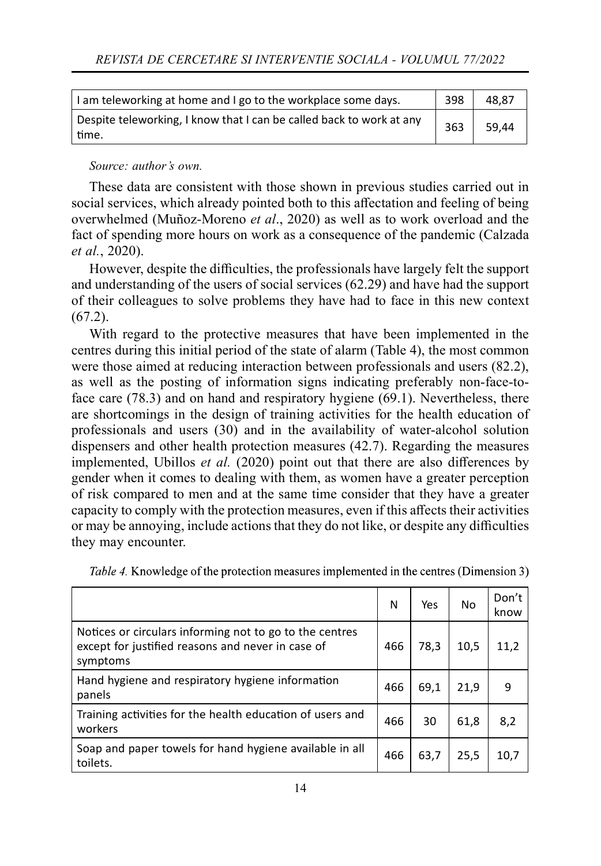| I am teleworking at home and I go to the workplace some days.                 | 398 | 48.87 |
|-------------------------------------------------------------------------------|-----|-------|
| Despite teleworking, I know that I can be called back to work at any<br>time. | 363 | 59.44 |

These data are consistent with those shown in previous studies carried out in social services, which already pointed both to this affectation and feeling of being overwhelmed (Muñoz-Moreno *et al*., 2020) as well as to work overload and the fact of spending more hours on work as a consequence of the pandemic (Calzada *et al.*, 2020).

However, despite the difficulties, the professionals have largely felt the support and understanding of the users of social services (62.29) and have had the support of their colleagues to solve problems they have had to face in this new context  $(67.2)$ .

With regard to the protective measures that have been implemented in the centres during this initial period of the state of alarm (Table 4), the most common were those aimed at reducing interaction between professionals and users (82.2), as well as the posting of information signs indicating preferably non-face-toface care (78.3) and on hand and respiratory hygiene (69.1). Nevertheless, there are shortcomings in the design of training activities for the health education of professionals and users (30) and in the availability of water-alcohol solution dispensers and other health protection measures (42.7). Regarding the measures implemented, Ubillos *et al.* (2020) point out that there are also differences by gender when it comes to dealing with them, as women have a greater perception of risk compared to men and at the same time consider that they have a greater capacity to comply with the protection measures, even if this affects their activities or may be annoying, include actions that they do not like, or despite any difficulties they may encounter.

|                                                                                                                          | N   | Yes  | No   | Don't<br>know |
|--------------------------------------------------------------------------------------------------------------------------|-----|------|------|---------------|
| Notices or circulars informing not to go to the centres<br>except for justified reasons and never in case of<br>symptoms | 466 | 78,3 | 10.5 | 11,2          |
| Hand hygiene and respiratory hygiene information<br>panels                                                               | 466 | 69,1 | 21,9 | 9             |
| Training activities for the health education of users and<br>workers                                                     | 466 | 30   | 61,8 | 8,2           |
| Soap and paper towels for hand hygiene available in all<br>toilets.                                                      | 466 | 63,7 | 25,5 | 10,7          |

Table 4. Knowledge of the protection measures implemented in the centres (Dimension 3)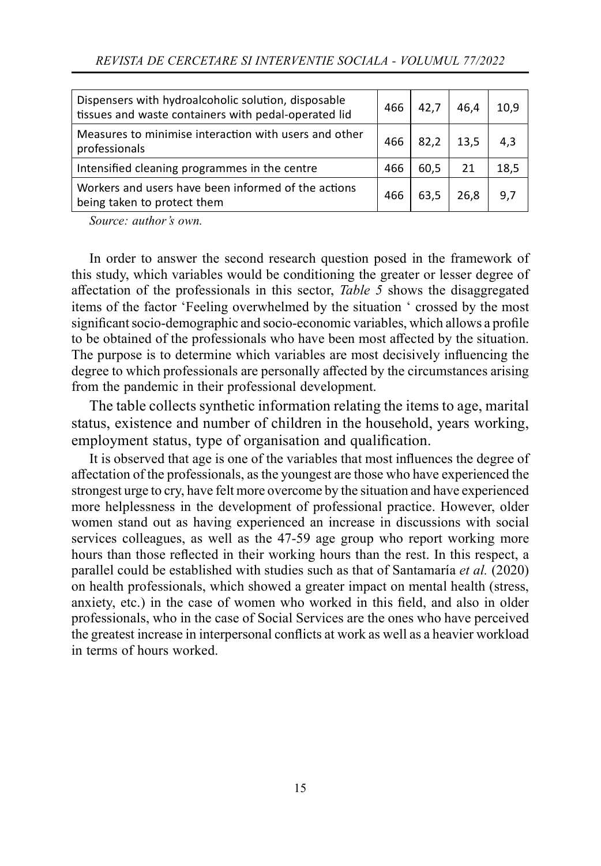| Dispensers with hydroalcoholic solution, disposable<br>tissues and waste containers with pedal-operated lid | 466 | 42.7 | 46.4 | 10.9 |
|-------------------------------------------------------------------------------------------------------------|-----|------|------|------|
| Measures to minimise interaction with users and other<br>professionals                                      | 466 | 82.2 | 13,5 | 4,3  |
| Intensified cleaning programmes in the centre                                                               | 466 | 60,5 | 21   | 18,5 |
| Workers and users have been informed of the actions<br>being taken to protect them                          | 466 | 63,5 | 26.8 | 9,7  |

In order to answer the second research question posed in the framework of this study, which variables would be conditioning the greater or lesser degree of aff ectation of the professionals in this sector, *Table 5* shows the disaggregated items of the factor 'Feeling overwhelmed by the situation ' crossed by the most significant socio-demographic and socio-economic variables, which allows a profile to be obtained of the professionals who have been most affected by the situation. The purpose is to determine which variables are most decisively influencing the degree to which professionals are personally affected by the circumstances arising from the pandemic in their professional development.

The table collects synthetic information relating the items to age, marital status, existence and number of children in the household, years working, employment status, type of organisation and qualification.

It is observed that age is one of the variables that most influences the degree of aff ectation of the professionals, as the youngest are those who have experienced the strongest urge to cry, have felt more overcome by the situation and have experienced more helplessness in the development of professional practice. However, older women stand out as having experienced an increase in discussions with social services colleagues, as well as the 47-59 age group who report working more hours than those reflected in their working hours than the rest. In this respect, a parallel could be established with studies such as that of Santamaría *et al.* (2020) on health professionals, which showed a greater impact on mental health (stress, anxiety, etc.) in the case of women who worked in this field, and also in older professionals, who in the case of Social Services are the ones who have perceived the greatest increase in interpersonal conflicts at work as well as a heavier workload in terms of hours worked.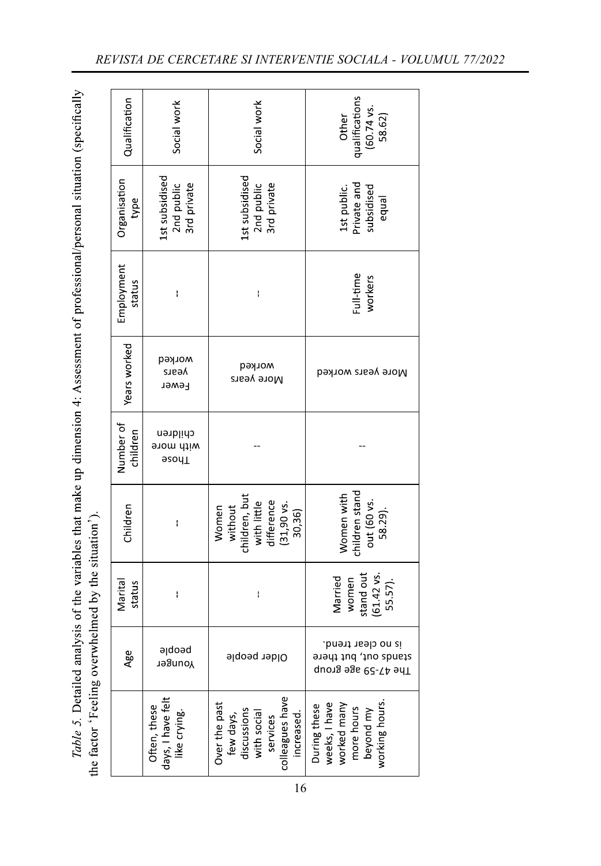Table 5. Detailed analysis of the variables that make up dimension 4: Assessment of professional/personal situation (specifically the factor 'Feeling overwhelmed by the situation').

| Qualification         | Social work                                       | Social work                                                                                           | qualifications<br>(60.74 vs.<br>Other<br>58.62)                                          |
|-----------------------|---------------------------------------------------|-------------------------------------------------------------------------------------------------------|------------------------------------------------------------------------------------------|
| Organisation<br>type  | 1st subsidised<br>2nd public<br>3rd private       | 1st subsidised<br>3rd private<br>2nd public                                                           | Private and<br>1st public.<br>subsidised<br>equal                                        |
| Employment<br>status  | ł                                                 | I                                                                                                     | Full-time<br>workers                                                                     |
| Years worked          | morked<br>Vesic<br>Fewer                          | morked<br>More years                                                                                  | More years worked                                                                        |
| Number of<br>children | children<br>with more<br>asoy <sub>1</sub>        |                                                                                                       |                                                                                          |
| Children              | ł                                                 | children, but<br>with little<br>difference<br>without<br>$(31, 90 \text{ vs.})$<br>Women<br>30,36)    | children stand<br>Women with<br>out (60 vs.<br>58.29).                                   |
| Marital<br>status     | $\mathbf{I}$                                      | $\mathsf{I}$                                                                                          | stand out<br>$(61.42 \text{ vs.})$<br>Married<br>women<br>55.57).                        |
| Age                   | peoble<br>Younger                                 | Older people                                                                                          | is no clear trend.<br>stands out, but there<br>The 47-59 age group                       |
|                       | days, I have felt<br>like crying.<br>Often, these | colleagues have<br>Over the past<br>discussions<br>with social<br>increased.<br>few days,<br>services | working hours<br>During these<br>weeks, I have<br>worked many<br>more hours<br>beyond my |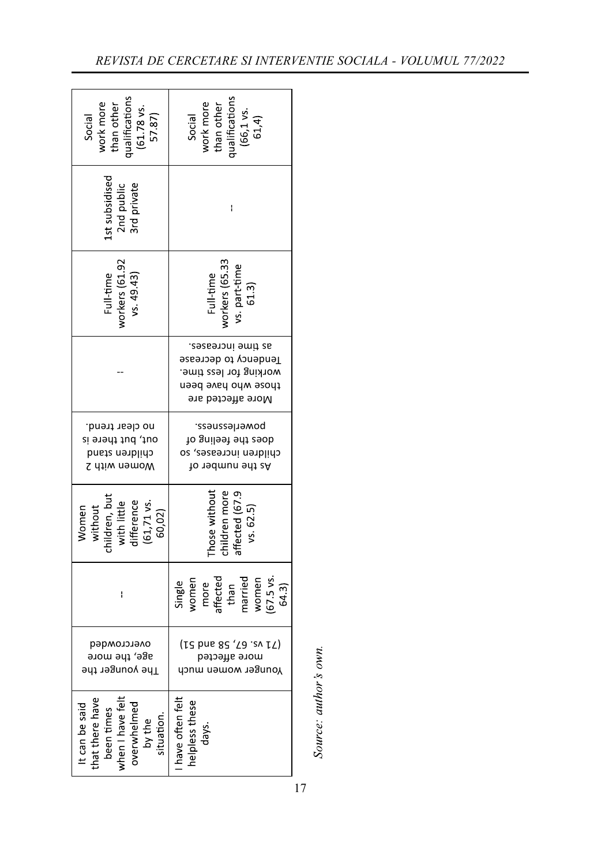| qualifications<br>work more<br>than other<br>$(61.78$ vs<br>Social<br>57.87)                              | ualification<br>work more<br>than other<br>$(66, 1 \text{ vs.}$<br>$61, 4)$<br>Social                            |
|-----------------------------------------------------------------------------------------------------------|------------------------------------------------------------------------------------------------------------------|
| st subsidised<br>2nd public<br>3rd private                                                                | ł                                                                                                                |
| workers (61.92<br>Full-time<br>vs. 49.43)                                                                 | workers (65.33<br>vs. part-time<br>$(61.3)$<br>Full-time                                                         |
|                                                                                                           | as time increases.<br>Tendency to decrease<br>working for less time.<br>those who have been<br>More affected are |
| no clear trend.<br>out, but there is<br>children stand<br>Women with 2                                    | powerlessness.<br>do gniləət ədt zəob<br>children increases, so<br>As the number of                              |
| children, bu<br>with little<br>difference<br>$(61, 71 \text{ vs }$<br>without<br>Women<br>60,02)          | children more<br>hose withou<br>affected (67.<br>vs. 62.5)                                                       |
| I                                                                                                         | women<br>more<br>affected<br>than<br>married<br>women<br>$(67.5 \text{ vs }$<br>Single<br>64.3)                  |
| overcrowded<br>age, the more<br>The younger the                                                           | (12 bns 82, 58 and 51)<br>рэтээћь этот<br>үоилвег мотеп тисп                                                     |
| been times<br>when I have felt<br>hat there have<br>It can be said<br>overwhelmed<br>situation.<br>by the | have often felt<br>helpless these<br>days                                                                        |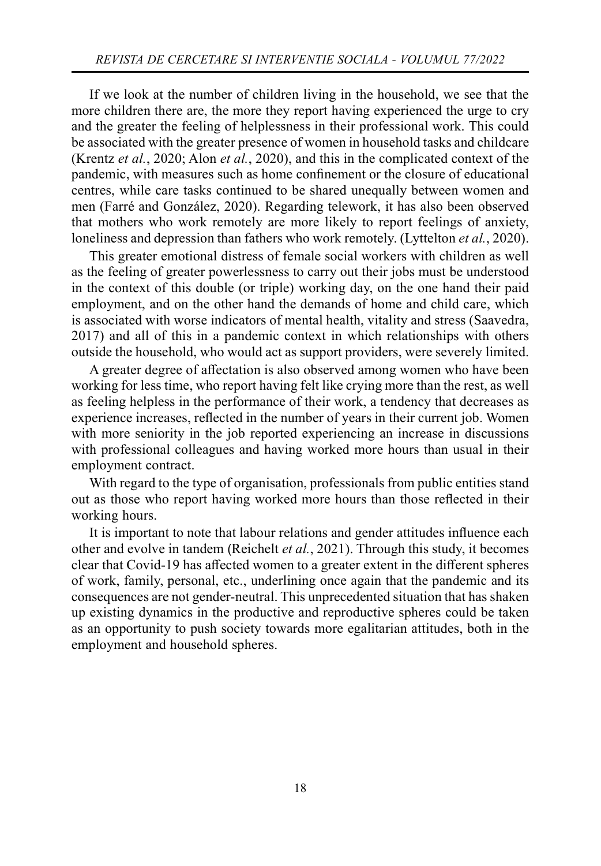If we look at the number of children living in the household, we see that the more children there are, the more they report having experienced the urge to cry and the greater the feeling of helplessness in their professional work. This could be associated with the greater presence of women in household tasks and childcare (Krentz *et al.*, 2020; Alon *et al.*, 2020), and this in the complicated context of the pandemic, with measures such as home confinement or the closure of educational centres, while care tasks continued to be shared unequally between women and men (Farré and González, 2020). Regarding telework, it has also been observed that mothers who work remotely are more likely to report feelings of anxiety, loneliness and depression than fathers who work remotely. (Lyttelton *et al.*, 2020).

This greater emotional distress of female social workers with children as well as the feeling of greater powerlessness to carry out their jobs must be understood in the context of this double (or triple) working day, on the one hand their paid employment, and on the other hand the demands of home and child care, which is associated with worse indicators of mental health, vitality and stress (Saavedra, 2017) and all of this in a pandemic context in which relationships with others outside the household, who would act as support providers, were severely limited.

A greater degree of affectation is also observed among women who have been working for less time, who report having felt like crying more than the rest, as well as feeling helpless in the performance of their work, a tendency that decreases as experience increases, reflected in the number of years in their current job. Women with more seniority in the job reported experiencing an increase in discussions with professional colleagues and having worked more hours than usual in their employment contract.

With regard to the type of organisation, professionals from public entities stand out as those who report having worked more hours than those reflected in their working hours.

It is important to note that labour relations and gender attitudes influence each other and evolve in tandem (Reichelt *et al.*, 2021). Through this study, it becomes clear that Covid-19 has affected women to a greater extent in the different spheres of work, family, personal, etc., underlining once again that the pandemic and its consequences are not gender-neutral. This unprecedented situation that has shaken up existing dynamics in the productive and reproductive spheres could be taken as an opportunity to push society towards more egalitarian attitudes, both in the employment and household spheres.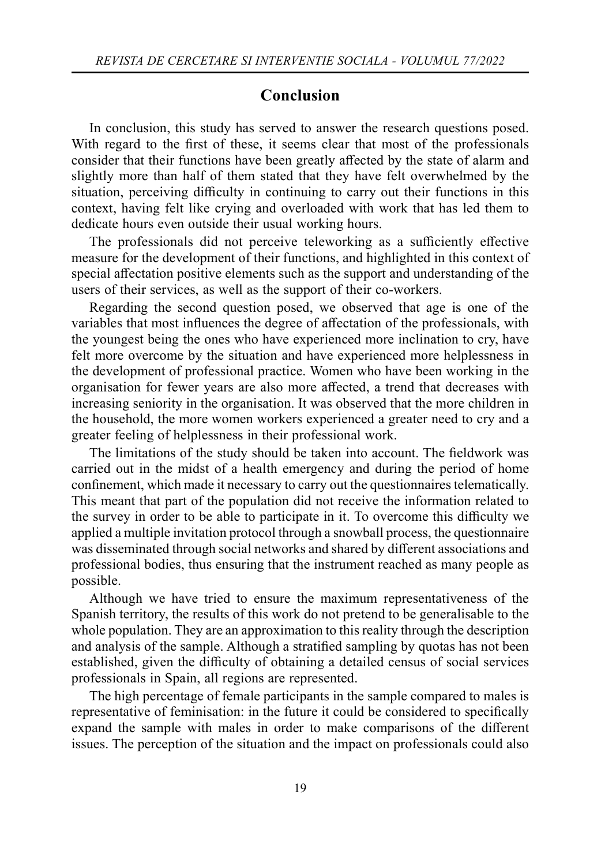## **Conclusion**

In conclusion, this study has served to answer the research questions posed. With regard to the first of these, it seems clear that most of the professionals consider that their functions have been greatly affected by the state of alarm and slightly more than half of them stated that they have felt overwhelmed by the situation, perceiving difficulty in continuing to carry out their functions in this context, having felt like crying and overloaded with work that has led them to dedicate hours even outside their usual working hours.

The professionals did not perceive teleworking as a sufficiently effective measure for the development of their functions, and highlighted in this context of special affectation positive elements such as the support and understanding of the users of their services, as well as the support of their co-workers.

Regarding the second question posed, we observed that age is one of the variables that most influences the degree of affectation of the professionals, with the youngest being the ones who have experienced more inclination to cry, have felt more overcome by the situation and have experienced more helplessness in the development of professional practice. Women who have been working in the organisation for fewer years are also more aff ected, a trend that decreases with increasing seniority in the organisation. It was observed that the more children in the household, the more women workers experienced a greater need to cry and a greater feeling of helplessness in their professional work.

The limitations of the study should be taken into account. The fieldwork was carried out in the midst of a health emergency and during the period of home confinement, which made it necessary to carry out the questionnaires telematically. This meant that part of the population did not receive the information related to the survey in order to be able to participate in it. To overcome this difficulty we applied a multiple invitation protocol through a snowball process, the questionnaire was disseminated through social networks and shared by different associations and professional bodies, thus ensuring that the instrument reached as many people as possible.

Although we have tried to ensure the maximum representativeness of the Spanish territory, the results of this work do not pretend to be generalisable to the whole population. They are an approximation to this reality through the description and analysis of the sample. Although a stratified sampling by quotas has not been established, given the difficulty of obtaining a detailed census of social services professionals in Spain, all regions are represented.

The high percentage of female participants in the sample compared to males is representative of feminisation: in the future it could be considered to specifically expand the sample with males in order to make comparisons of the different issues. The perception of the situation and the impact on professionals could also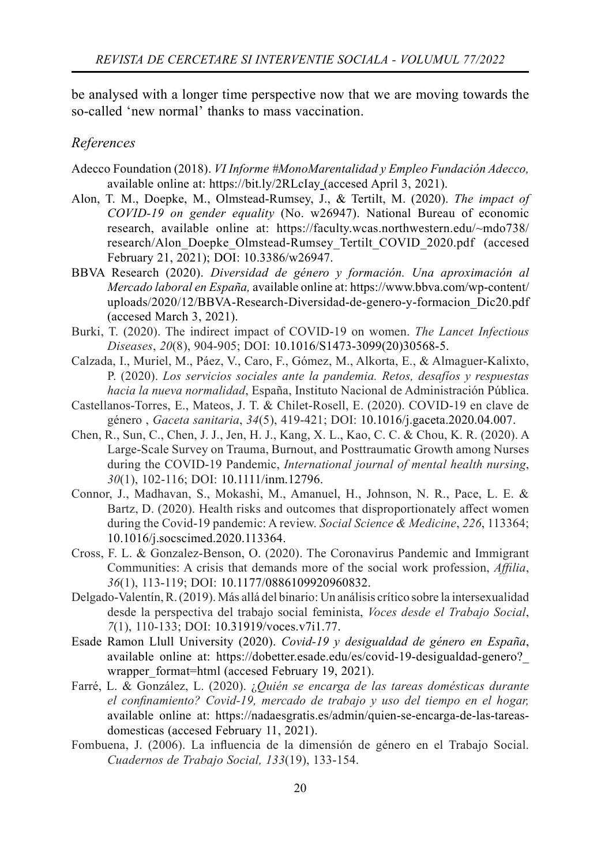be analysed with a longer time perspective now that we are moving towards the so-called 'new normal' thanks to mass vaccination.

#### *References*

- Adecco Foundation (2018). *VI Informe #MonoMarentalidad y Empleo Fundación Adecco,*  available online at: https://bit.ly/2RLcIay (accesed April 3, 2021).
- Alon, T. M., Doepke, M., Olmstead-Rumsey, J., & Tertilt, M. (2020). *The impact of COVID-19 on gender equality* (No. w26947). National Bureau of economic research, available online at: https://faculty.wcas.northwestern.edu/~mdo738/ research/Alon\_Doepke\_Olmstead-Rumsey\_Tertilt\_COVID\_2020.pdf (accesed February 21, 2021); DOI: 10.3386/w26947.
- BBVA Research (2020). *Diversidad de género y formación. Una aproximación al Mercado laboral en España,* available online at: https://www.bbva.com/wp-content/ uploads/2020/12/BBVA-Research-Diversidad-de-genero-y-formacion\_Dic20.pdf (accesed March 3, 2021).
- Burki, T. (2020). The indirect impact of COVID-19 on women. *The Lancet Infectious Diseases*, *20*(8), 904-905; DOI: 10.1016/S1473-3099(20)30568-5.
- Calzada, I., Muriel, M., Páez, V., Caro, F., Gómez, M., Alkorta, E., & Almaguer-Kalixto, P. (2020). *Los servicios sociales ante la pandemia. Retos, desafíos y respuestas hacia la nueva normalidad*, España, Instituto Nacional de Administración Pública.
- Castellanos-Torres, E., Mateos, J. T. & Chilet-Rosell, E. (2020). COVID-19 en clave de género , *Gaceta sanitaria*, *34*(5), 419-421; DOI: 10.1016/j.gaceta.2020.04.007.
- Chen, R., Sun, C., Chen, J. J., Jen, H. J., Kang, X. L., Kao, C. C. & Chou, K. R. (2020). A Large‐Scale Survey on Trauma, Burnout, and Posttraumatic Growth among Nurses during the COVID‐19 Pandemic, *International journal of mental health nursing*, *30*(1), 102-116; DOI: 10.1111/inm.12796.
- Connor, J., Madhavan, S., Mokashi, M., Amanuel, H., Johnson, N. R., Pace, L. E. & Bartz, D. (2020). Health risks and outcomes that disproportionately affect women during the Covid-19 pandemic: A review. *Social Science & Medicine*, *226*, 113364; 10.1016/j.socscimed.2020.113364.
- Cross, F. L. & Gonzalez-Benson, O. (2020). The Coronavirus Pandemic and Immigrant Communities: A crisis that demands more of the social work profession, *Affilia*, *36*(1), 113-119; DOI: 10.1177/0886109920960832.
- Delgado-Valentín, R. (2019). Más allá del binario: Un análisis crítico sobre la intersexualidad desde la perspectiva del trabajo social feminista, *Voces desde el Trabajo Social*, *7*(1), 110-133; DOI: 10.31919/voces.v7i1.77.
- Esade Ramon Llull University (2020). *Covid-19 y desigualdad de género en España*, available online at: https://dobetter.esade.edu/es/covid-19-desigualdad-genero?\_ wrapper format=html (accesed February 19, 2021).
- Farré, L. & González, L. (2020). ¿*Quién se encarga de las tareas domésticas durante*  el confinamiento? Covid-19, mercado de trabajo y uso del tiempo en el hogar, available online at: https://nadaesgratis.es/admin/quien-se-encarga-de-las-tareasdomesticas (accesed February 11, 2021).
- Fombuena, J. (2006). La influencia de la dimensión de género en el Trabajo Social. *Cuadernos de Trabajo Social, 133*(19), 133-154.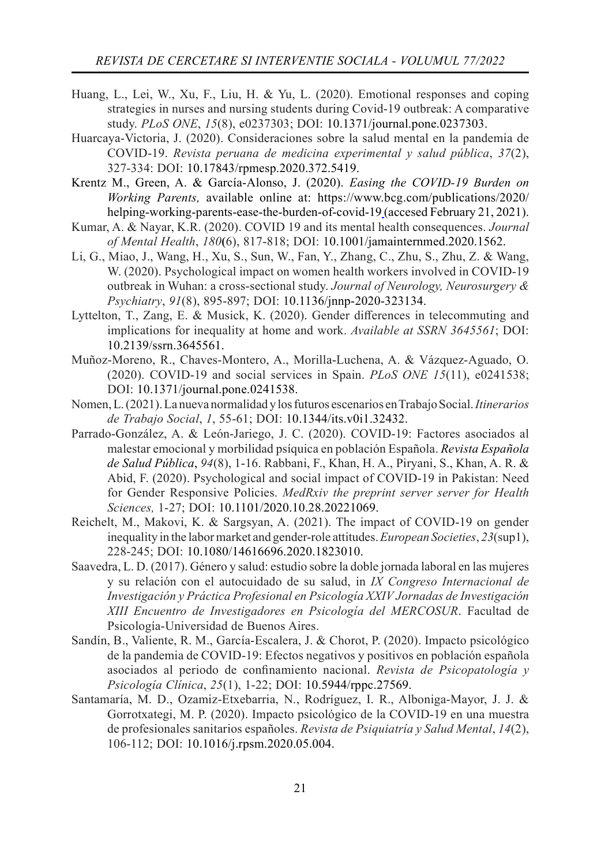- Huang, L., Lei, W., Xu, F., Liu, H. & Yu, L. (2020). Emotional responses and coping strategies in nurses and nursing students during Covid-19 outbreak: A comparative study. *PLoS ONE*, *15*(8), e0237303; DOI: 10.1371/journal.pone.0237303.
- Huarcaya-Victoria, J. (2020). Consideraciones sobre la salud mental en la pandemia de COVID-19. *Revista peruana de medicina experimental y salud pública*, *37*(2), 327-334: DOI: 10.17843/rpmesp.2020.372.5419.

Krentz M., Green, A. & García-Alonso, J. (2020). *Easing the COVID-19 Burden on Working Parents,* available online at: https://www.bcg.com/publications/2020/ helping-working-parents-ease-the-burden-of-covid-19 (accesed February 21, 2021).

- Kumar, A. & Nayar, K.R. (2020). COVID 19 and its mental health consequences. *Journal of Mental Health*, *180***(**6), 817-818; DOI: 10.1001/jamainternmed.2020.1562.
- Li, G., Miao, J., Wang, H., Xu, S., Sun, W., Fan, Y., Zhang, C., Zhu, S., Zhu, Z. & Wang, W. (2020). Psychological impact on women health workers involved in COVID-19 outbreak in Wuhan: a cross-sectional study. *Journal of Neurology, Neurosurgery & Psychiatry*, *91*(8), 895-897; DOI: 10.1136/jnnp-2020-323134.
- Lyttelton, T., Zang, E. & Musick, K. (2020). Gender differences in telecommuting and implications for inequality at home and work. *Available at SSRN 3645561*; DOI: 10.2139/ssrn.3645561.
- Muñoz-Moreno, R., Chaves-Montero, A., Morilla-Luchena, A. & Vázquez-Aguado, O. (2020). COVID-19 and social services in Spain. *PLoS ONE 15*(11), e0241538; DOI: 10.1371/journal.pone.0241538.
- Nomen, L. (2021). La nueva normalidad y los futuros escenarios en Trabajo Social.*Itinerarios de Trabajo Social*, *1*, 55-61; DOI: 10.1344/its.v0i1.32432.
- Parrado-González, A. & León-Jariego, J. C. (2020). COVID-19: Factores asociados al malestar emocional y morbilidad psíquica en población Española. *Revista Española de Salud Pública*, *94*(8), 1-16. Rabbani, F., Khan, H. A., Piryani, S., Khan, A. R. & Abid, F. (2020). Psychological and social impact of COVID-19 in Pakistan: Need for Gender Responsive Policies. *MedRxiv the preprint server server for Health Sciences,* 1-27; DOI: 10.1101/2020.10.28.20221069.
- Reichelt, M., Makovi, K. & Sargsyan, A. (2021). The impact of COVID-19 on gender inequality in the labor market and gender-role attitudes. *European Societies*, *23*(sup1), 228-245; DOI: 10.1080/14616696.2020.1823010.
- Saavedra, L. D. (2017). Género y salud: estudio sobre la doble jornada laboral en las mujeres y su relación con el autocuidado de su salud, in *IX Congreso Internacional de Investigación y Práctica Profesional en Psicología XXIV Jornadas de Investigación XIII Encuentro de Investigadores en Psicología del MERCOSUR*. Facultad de Psicología-Universidad de Buenos Aires.
- Sandín, B., Valiente, R. M., García-Escalera, J. & Chorot, P. (2020). Impacto psicológico de la pandemia de COVID-19: Efectos negativos y positivos en población española asociados al periodo de confinamiento nacional. *Revista de Psicopatología y Psicología Clínica*, *25*(1), 1-22; DOI: 10.5944/rppc.27569.
- Santamaría, M. D., Ozamiz-Etxebarria, N., Rodríguez, I. R., Alboniga-Mayor, J. J. & Gorrotxategi, M. P. (2020). Impacto psicológico de la COVID-19 en una muestra de profesionales sanitarios españoles. *Revista de Psiquiatría y Salud Mental*, *14*(2), 106-112; DOI: 10.1016/j.rpsm.2020.05.004.